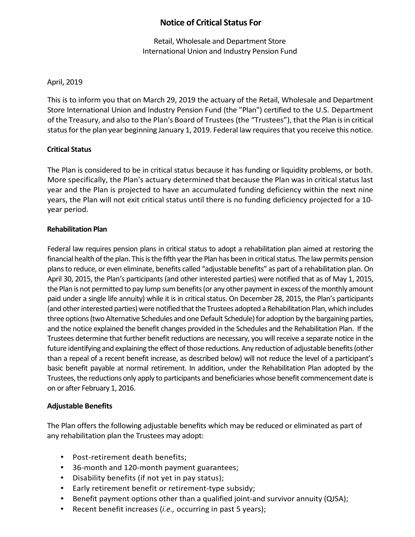# **Notice of Critical Status For**

Retail, Wholesale and Department Store International Union and Industry Pension Fund

# April, 2019

This is to inform you that on March 29, 2019 the actuary of the Retail, Wholesale and Department Store International Union and Industry Pension Fund (the "Plan") certified to the U.S. Department of the Treasury, and also to the Plan's Board of Trustees(the "Trustees"), that the Plan is in critical status for the plan year beginning January 1, 2019. Federal law requires that you receive this notice.

## **Critical Status**

The Plan is considered to be in critical status because it has funding or liquidity problems, or both. More specifically, the Plan's actuary determined that because the Plan was in critical status last year and the Plan is projected to have an accumulated funding deficiency within the next nine years, the Plan will not exit critical status until there is no funding deficiency projected for a 10 year period.

#### **Rehabilitation Plan**

Federal law requires pension plans in critical status to adopt a rehabilitation plan aimed at restoring the financial health of the plan. This is the fifth year the Plan has been in critical status. The law permits pension plans to reduce, or even eliminate, benefits called "adjustable benefits" as part of a rehabilitation plan. On April 30, 2015, the Plan's participants (and other interested parties) were notified that as of May 1, 2015, the Plan is not permitted to pay lump sum benefits (or any other payment in excess of the monthly amount paid under a single life annuity) while it is in critical status. On December 28, 2015, the Plan's participants (and other interested parties) were notified that the Trustees adopted a Rehabilitation Plan, which includes three options (two Alternative Schedules and one Default Schedule) for adoption by the bargaining parties, and the notice explained the benefit changes provided in the Schedules and the Rehabilitation Plan. If the Trustees determine that further benefit reductions are necessary, you will receive a separate notice in the future identifying and explaining the effect of those reductions. Any reduction of adjustable benefits (other than a repeal of a recent benefit increase, as described below) will not reduce the level of a participant's basic benefit payable at normal retirement. In addition, under the Rehabilitation Plan adopted by the Trustees, the reductions only apply to participants and beneficiaries whose benefit commencement date is on or after February 1, 2016.

#### **Adjustable Benefits**

The Plan offers the following adjustable benefits which may be reduced or eliminated as part of any rehabilitation plan the Trustees may adopt:

- Post-retirement death benefits;
- 36-month and 120-month payment guarantees;
- Disability benefits (if not yet in pay status);
- Early retirement benefit or retirement-type subsidy;
- Benefit payment options other than a qualified joint-and survivor annuity (QJSA);
- Recent benefit increases (*i.e.,* occurring in past 5 years);